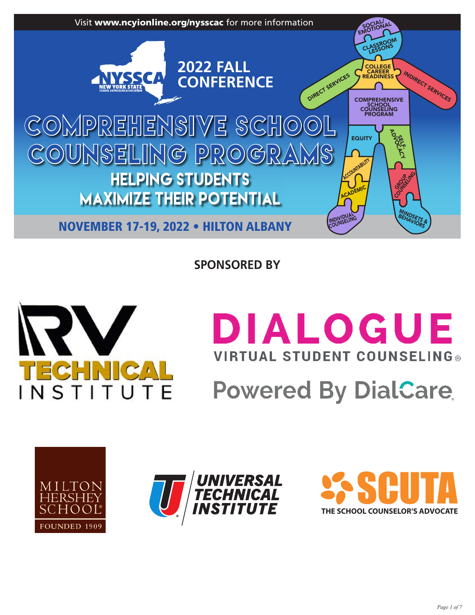

**SPONSORED BY**



# **DIALOGUE VIRTUAL STUDENT COUNSELING® Powered By DialCare**





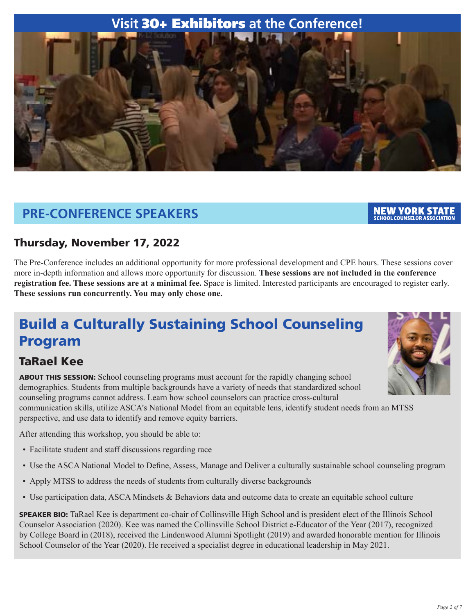# **Visit** 30+ Exhibitors **at the Conference!**



# **PRE-CONFERENCE SPEAKERS**

#### NEW YORK STAT **SCHOOL COUNSELOR ASSOCIATION**

### Thursday, November 17, 2022

The Pre-Conference includes an additional opportunity for more professional development and CPE hours. These sessions cover more in-depth information and allows more opportunity for discussion. **These sessions are not included in the conference registration fee. These sessions are at a minimal fee.** Space is limited. Interested participants are encouraged to register early. **These sessions run concurrently. You may only chose one.**

# Build a Culturally Sustaining School Counseling Program

# TaRael Kee

ABOUT THIS SESSION: School counseling programs must account for the rapidly changing school demographics. Students from multiple backgrounds have a variety of needs that standardized school counseling programs cannot address. Learn how school counselors can practice cross-cultural communication skills, utilize ASCA's National Model from an equitable lens, identify student needs from an MTSS perspective, and use data to identify and remove equity barriers.

After attending this workshop, you should be able to:

- Facilitate student and staff discussions regarding race
- Use the ASCA National Model to Define, Assess, Manage and Deliver a culturally sustainable school counseling program
- Apply MTSS to address the needs of students from culturally diverse backgrounds
- Use participation data, ASCA Mindsets & Behaviors data and outcome data to create an equitable school culture

SPEAKER BIO: TaRael Kee is department co-chair of Collinsville High School and is president elect of the Illinois School Counselor Association (2020). Kee was named the Collinsville School District e-Educator of the Year (2017), recognized by College Board in (2018), received the Lindenwood Alumni Spotlight (2019) and awarded honorable mention for Illinois School Counselor of the Year (2020). He received a specialist degree in educational leadership in May 2021.

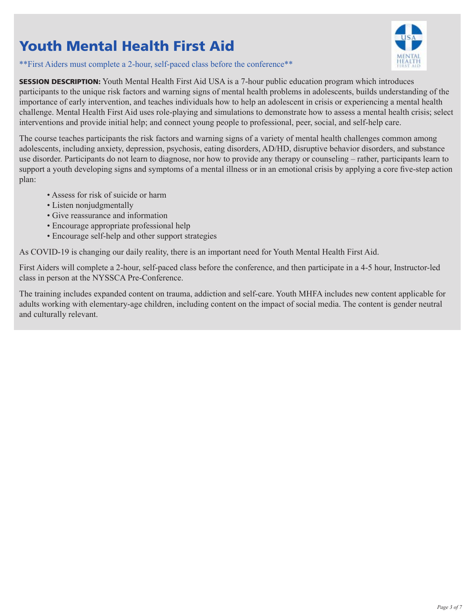# Youth Mental Health First Aid

\*\*First Aiders must complete a 2-hour, self-paced class before the conference\*\*



SESSION DESCRIPTION: Youth Mental Health First Aid USA is a 7-hour public education program which introduces participants to the unique risk factors and warning signs of mental health problems in adolescents, builds understanding of the importance of early intervention, and teaches individuals how to help an adolescent in crisis or experiencing a mental health challenge. Mental Health First Aid uses role-playing and simulations to demonstrate how to assess a mental health crisis; select interventions and provide initial help; and connect young people to professional, peer, social, and self-help care.

The course teaches participants the risk factors and warning signs of a variety of mental health challenges common among adolescents, including anxiety, depression, psychosis, eating disorders, AD/HD, disruptive behavior disorders, and substance use disorder. Participants do not learn to diagnose, nor how to provide any therapy or counseling – rather, participants learn to support a youth developing signs and symptoms of a mental illness or in an emotional crisis by applying a core five-step action plan:

- Assess for risk of suicide or harm
- Listen nonjudgmentally
- Give reassurance and information
- Encourage appropriate professional help
- Encourage self-help and other support strategies

As COVID-19 is changing our daily reality, there is an important need for Youth Mental Health First Aid.

First Aiders will complete a 2-hour, self-paced class before the conference, and then participate in a 4-5 hour, Instructor-led class in person at the NYSSCA Pre-Conference.

The training includes expanded content on trauma, addiction and self-care. Youth MHFA includes new content applicable for adults working with elementary-age children, including content on the impact of social media. The content is gender neutral and culturally relevant.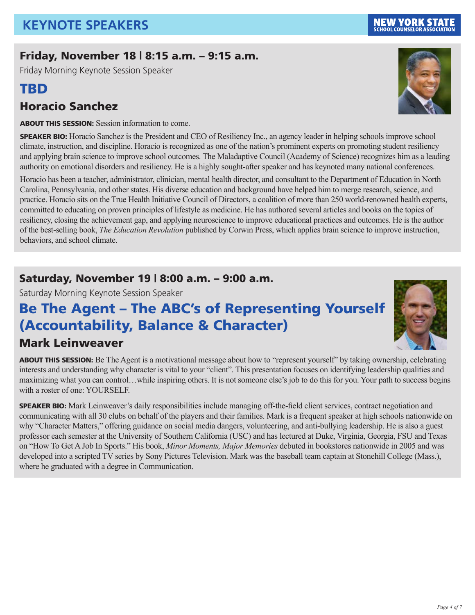# Friday, November 18 | 8:15 a.m. – 9:15 a.m.

Friday Morning Keynote Session Speaker

# TBD

# Horacio Sanchez

ABOUT THIS SESSION: Session information to come.

SPEAKER BIO: Horacio Sanchez is the President and CEO of Resiliency Inc., an agency leader in helping schools improve school climate, instruction, and discipline. Horacio is recognized as one of the nation's prominent experts on promoting student resiliency and applying brain science to improve school outcomes. The Maladaptive Council (Academy of Science) recognizes him as a leading authority on emotional disorders and resiliency. He is a highly sought-after speaker and has keynoted many national conferences.

Horacio has been a teacher, administrator, clinician, mental health director, and consultant to the Department of Education in North Carolina, Pennsylvania, and other states. His diverse education and background have helped him to merge research, science, and practice. Horacio sits on the True Health Initiative Council of Directors, a coalition of more than 250 world-renowned health experts, committed to educating on proven principles of lifestyle as medicine. He has authored several articles and books on the topics of resiliency, closing the achievement gap, and applying neuroscience to improve educational practices and outcomes. He is the author of the best-selling book, *The Education Revolution* published by Corwin Press, which applies brain science to improve instruction, behaviors, and school climate.

# Saturday, November 19 | 8:00 a.m. – 9:00 a.m.

Saturday Morning Keynote Session Speaker

# Be The Agent – The ABC's of Representing Yourself (Accountability, Balance & Character)

# Mark Leinweaver

ABOUT THIS SESSION: Be The Agent is a motivational message about how to "represent yourself" by taking ownership, celebrating interests and understanding why character is vital to your "client". This presentation focuses on identifying leadership qualities and maximizing what you can control…while inspiring others. It is not someone else's job to do this for you. Your path to success begins with a roster of one: YOURSELF.

SPEAKER BIO: Mark Leinweaver's daily responsibilities include managing off-the-field client services, contract negotiation and communicating with all 30 clubs on behalf of the players and their families. Mark is a frequent speaker at high schools nationwide on why "Character Matters," offering guidance on social media dangers, volunteering, and anti-bullying leadership. He is also a guest professor each semester at the University of Southern California (USC) and has lectured at Duke, Virginia, Georgia, FSU and Texas on "How To Get A Job In Sports." His book, *Minor Moments, Major Memories* debuted in bookstores nationwide in 2005 and was developed into a scripted TV series by Sony Pictures Television. Mark was the baseball team captain at Stonehill College (Mass.), where he graduated with a degree in Communication.





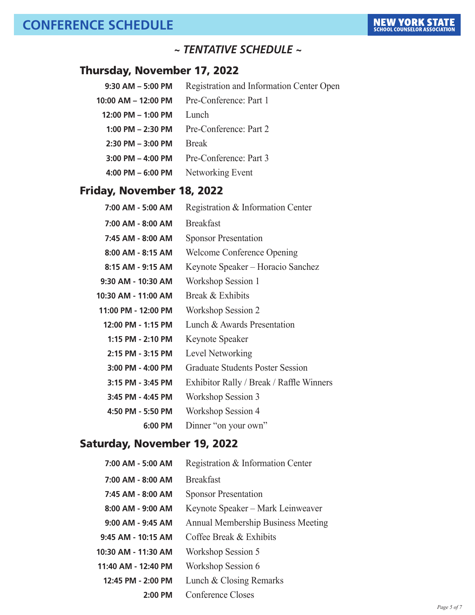### *~ TENTATIVE SCHEDULE ~*

### Thursday, November 17, 2022

| $9:30$ AM $-5:00$ PM   | Registration and Information Center Open |
|------------------------|------------------------------------------|
| 10:00 AM - 12:00 PM    | Pre-Conference: Part 1                   |
| $12:00$ PM $-$ 1:00 PM | Lunch                                    |
| 1:00 PM $-$ 2:30 PM    | Pre-Conference: Part 2                   |
| $2:30$ PM $-3:00$ PM   | <b>Break</b>                             |
| $3:00$ PM $-$ 4:00 PM  | Pre-Conference: Part 3                   |
| $4:00$ PM $-6:00$ PM   | Networking Event                         |
|                        |                                          |

# Friday, November 18, 2022

| 7:00 AM - 5:00 AM    | Registration & Information Center        |
|----------------------|------------------------------------------|
| 7:00 AM - 8:00 AM    | <b>Breakfast</b>                         |
| 7:45 AM - 8:00 AM    | <b>Sponsor Presentation</b>              |
| 8:00 AM - 8:15 AM    | <b>Welcome Conference Opening</b>        |
| 8:15 AM - 9:15 AM    | Keynote Speaker – Horacio Sanchez        |
| $9:30$ AM - 10:30 AM | Workshop Session 1                       |
| 10:30 AM - 11:00 AM  | Break & Exhibits                         |
| 11:00 PM - 12:00 PM  | <b>Workshop Session 2</b>                |
| 12:00 PM - 1:15 PM   | Lunch & Awards Presentation              |
| 1:15 PM - 2:10 PM    | Keynote Speaker                          |
| 2:15 PM - 3:15 PM    | Level Networking                         |
| $3:00$ PM - 4:00 PM  | <b>Graduate Students Poster Session</b>  |
| 3:15 PM - 3:45 PM    | Exhibitor Rally / Break / Raffle Winners |
| 3:45 PM - 4:45 PM    | Workshop Session 3                       |
| 4:50 PM - 5:50 PM    | Workshop Session 4                       |
| 6:00 PM              | Dinner "on your own"                     |

### Saturday, November 19, 2022

| 7:00 AM - 5:00 AM     | Registration & Information Center         |
|-----------------------|-------------------------------------------|
| $7:00$ AM - $8:00$ AM | <b>Breakfast</b>                          |
| 7:45 AM - 8:00 AM     | <b>Sponsor Presentation</b>               |
| $8:00$ AM - $9:00$ AM | Keynote Speaker – Mark Leinweaver         |
| $9:00$ AM - $9:45$ AM | <b>Annual Membership Business Meeting</b> |
| $9:45$ AM - 10:15 AM  | Coffee Break & Exhibits                   |
| 10:30 AM - 11:30 AM   | Workshop Session 5                        |
| 11:40 AM - 12:40 PM   | Workshop Session 6                        |
| 12:45 PM - 2:00 PM    | Lunch & Closing Remarks                   |
| 2:00 PM               | Conference Closes                         |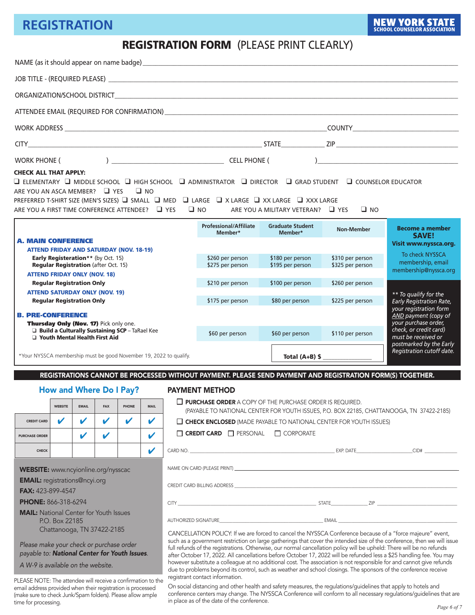# **REGISTRATION**

### REGISTRATION FORM (PLEASE PRINT CLEARLY)

|                                                                                                                                                                                                                |                                  |                    |                    |                                                |             |                                                                                                                                                                                                                                                                                                                                                                                                                                                                                                                                                                                                                                                        | NAME (as it should appear on name badge) [14] The Content of the Content of the Content of the Content of the Content of the Content of the Content of the Content of the Content of the Content of the Content of the Content                                                                                                                                                                                                                                                            |                                      |                                                      |                                                                                                                             |  |  |
|----------------------------------------------------------------------------------------------------------------------------------------------------------------------------------------------------------------|----------------------------------|--------------------|--------------------|------------------------------------------------|-------------|--------------------------------------------------------------------------------------------------------------------------------------------------------------------------------------------------------------------------------------------------------------------------------------------------------------------------------------------------------------------------------------------------------------------------------------------------------------------------------------------------------------------------------------------------------------------------------------------------------------------------------------------------------|-------------------------------------------------------------------------------------------------------------------------------------------------------------------------------------------------------------------------------------------------------------------------------------------------------------------------------------------------------------------------------------------------------------------------------------------------------------------------------------------|--------------------------------------|------------------------------------------------------|-----------------------------------------------------------------------------------------------------------------------------|--|--|
|                                                                                                                                                                                                                |                                  |                    |                    |                                                |             |                                                                                                                                                                                                                                                                                                                                                                                                                                                                                                                                                                                                                                                        |                                                                                                                                                                                                                                                                                                                                                                                                                                                                                           |                                      |                                                      |                                                                                                                             |  |  |
|                                                                                                                                                                                                                |                                  |                    |                    |                                                |             |                                                                                                                                                                                                                                                                                                                                                                                                                                                                                                                                                                                                                                                        |                                                                                                                                                                                                                                                                                                                                                                                                                                                                                           |                                      |                                                      |                                                                                                                             |  |  |
|                                                                                                                                                                                                                |                                  |                    |                    |                                                |             |                                                                                                                                                                                                                                                                                                                                                                                                                                                                                                                                                                                                                                                        |                                                                                                                                                                                                                                                                                                                                                                                                                                                                                           |                                      |                                                      |                                                                                                                             |  |  |
|                                                                                                                                                                                                                |                                  |                    |                    |                                                |             |                                                                                                                                                                                                                                                                                                                                                                                                                                                                                                                                                                                                                                                        |                                                                                                                                                                                                                                                                                                                                                                                                                                                                                           |                                      |                                                      |                                                                                                                             |  |  |
|                                                                                                                                                                                                                |                                  |                    |                    |                                                |             |                                                                                                                                                                                                                                                                                                                                                                                                                                                                                                                                                                                                                                                        |                                                                                                                                                                                                                                                                                                                                                                                                                                                                                           |                                      |                                                      |                                                                                                                             |  |  |
| WORK PHONE (                                                                                                                                                                                                   |                                  |                    |                    |                                                |             |                                                                                                                                                                                                                                                                                                                                                                                                                                                                                                                                                                                                                                                        | $\begin{array}{c} \begin{array}{c} \end{array} \end{array}$ $\begin{array}{c} \begin{array}{c} \end{array} \end{array}$ $\begin{array}{c} \end{array} \begin{array}{c} \end{array}$ $\begin{array}{c} \end{array}$ $\begin{array}{c} \end{array}$ $\begin{array}{c} \end{array}$ $\begin{array}{c} \end{array}$ $\begin{array}{c} \end{array}$ $\begin{array}{c} \end{array}$ $\begin{array}{c} \end{array}$ $\begin{array}{c} \end{array}$ $\begin{array}{c} \end{array}$ $\begin{array$ |                                      |                                                      |                                                                                                                             |  |  |
| <b>CHECK ALL THAT APPLY:</b><br>ARE YOU AN ASCA MEMBER? 4 YES 4 NO<br>ARE YOU A FIRST TIME CONFERENCE ATTENDEE? 4 YES                                                                                          |                                  |                    |                    |                                                |             |                                                                                                                                                                                                                                                                                                                                                                                                                                                                                                                                                                                                                                                        | $\Box$ elementary $\Box$ middle school $\Box$ high school $\Box$ administrator $\Box$ director $\Box$ grad student $\Box$ counselor educator<br>PREFERRED T-SHIRT SIZE (MEN'S SIZES) □ SMALL □ MED □ LARGE □ X LARGE □ XX LARGE □ XXX LARGE<br>$\Box$ NO                                                                                                                                                                                                                                  | ARE YOU A MILITARY VETERAN? 4 YES    | $\Box$ NO                                            |                                                                                                                             |  |  |
|                                                                                                                                                                                                                |                                  |                    |                    |                                                |             |                                                                                                                                                                                                                                                                                                                                                                                                                                                                                                                                                                                                                                                        | <b>Professional/Affiliate</b><br>Member*                                                                                                                                                                                                                                                                                                                                                                                                                                                  | <b>Graduate Student</b><br>Member*   | <b>Non-Member</b>                                    | <b>Become a member</b>                                                                                                      |  |  |
| <b>A. MAIN CONFERENCE</b><br><b>ATTEND FRIDAY AND SATURDAY (NOV. 18-19)</b><br><b>Early Registeration**</b> (by Oct. 15)<br><b>Regular Registration (after Oct. 15)</b><br><b>ATTEND FRIDAY ONLY (NOV. 18)</b> |                                  |                    |                    |                                                |             |                                                                                                                                                                                                                                                                                                                                                                                                                                                                                                                                                                                                                                                        | \$260 per person<br>\$275 per person                                                                                                                                                                                                                                                                                                                                                                                                                                                      | \$180 per person<br>\$195 per person | \$310 per person<br>\$325 per person                 | <b>SAVE!</b><br>Visit www.nyssca.org.<br>To check NYSSCA<br>membership, email<br>membership@nyssca.org                      |  |  |
|                                                                                                                                                                                                                | <b>Regular Registration Only</b> |                    |                    |                                                |             |                                                                                                                                                                                                                                                                                                                                                                                                                                                                                                                                                                                                                                                        | \$210 per person                                                                                                                                                                                                                                                                                                                                                                                                                                                                          | \$100 per person                     | \$260 per person                                     |                                                                                                                             |  |  |
| <b>ATTEND SATURDAY ONLY (NOV. 19)</b><br><b>Regular Registration Only</b><br><b>B. PRE-CONFERENCE</b><br>Thursday Only (Nov. 17) Pick only one.                                                                |                                  |                    |                    |                                                |             |                                                                                                                                                                                                                                                                                                                                                                                                                                                                                                                                                                                                                                                        | \$175 per person                                                                                                                                                                                                                                                                                                                                                                                                                                                                          | \$80 per person                      | \$225 per person                                     | ** To qualify for the<br>Early Registration Rate,<br>your registration form<br>AND payment (copy of<br>your purchase order, |  |  |
|                                                                                                                                                                                                                | □ Youth Mental Health First Aid  |                    |                    | Build a Culturally Sustaining SCP - TaRael Kee |             |                                                                                                                                                                                                                                                                                                                                                                                                                                                                                                                                                                                                                                                        | \$60 per person                                                                                                                                                                                                                                                                                                                                                                                                                                                                           | \$60 per person                      | \$110 per person                                     | check, or credit card)<br>must be received or                                                                               |  |  |
| *Your NYSSCA membership must be good November 19, 2022 to qualify.                                                                                                                                             |                                  |                    |                    |                                                |             | Total $(A+B)$ \$                                                                                                                                                                                                                                                                                                                                                                                                                                                                                                                                                                                                                                       |                                                                                                                                                                                                                                                                                                                                                                                                                                                                                           |                                      | postmarked by the Early<br>Registration cutoff date. |                                                                                                                             |  |  |
|                                                                                                                                                                                                                |                                  |                    |                    |                                                |             |                                                                                                                                                                                                                                                                                                                                                                                                                                                                                                                                                                                                                                                        | REGISTRATIONS CANNOT BE PROCESSED WITHOUT PAYMENT. PLEASE SEND PAYMENT AND REGISTRATION FORM(S) TOGETHER.                                                                                                                                                                                                                                                                                                                                                                                 |                                      |                                                      |                                                                                                                             |  |  |
|                                                                                                                                                                                                                |                                  |                    |                    | How and Where Do I Pay?                        |             |                                                                                                                                                                                                                                                                                                                                                                                                                                                                                                                                                                                                                                                        | <b>PAYMENT METHOD</b>                                                                                                                                                                                                                                                                                                                                                                                                                                                                     |                                      |                                                      |                                                                                                                             |  |  |
|                                                                                                                                                                                                                | <b>WEBSITE</b>                   | <b>EMAIL</b>       | <b>FAX</b>         | PHONE                                          | <b>MAIL</b> |                                                                                                                                                                                                                                                                                                                                                                                                                                                                                                                                                                                                                                                        | $\Box$ PURCHASE ORDER A COPY OF THE PURCHASE ORDER IS REQUIRED.                                                                                                                                                                                                                                                                                                                                                                                                                           |                                      |                                                      | (PAYABLE TO NATIONAL CENTER FOR YOUTH ISSUES, P.O. BOX 22185, CHATTANOOGA, TN 37422-2185)                                   |  |  |
| <b>CREDIT CARD</b>                                                                                                                                                                                             | V                                | $\checkmark$       | V                  | $\boldsymbol{\mathcal{U}}$                     | V           | $\Box$ CHECK ENCLOSED (MADE PAYABLE TO NATIONAL CENTER FOR YOUTH ISSUES)                                                                                                                                                                                                                                                                                                                                                                                                                                                                                                                                                                               |                                                                                                                                                                                                                                                                                                                                                                                                                                                                                           |                                      |                                                      |                                                                                                                             |  |  |
| <b>PURCHASE ORDER</b>                                                                                                                                                                                          |                                  | $\boldsymbol{\nu}$ | $\boldsymbol{\nu}$ |                                                | V           | $\Box$ CREDIT CARD $\Box$ PERSONAL $\Box$ CORPORATE                                                                                                                                                                                                                                                                                                                                                                                                                                                                                                                                                                                                    |                                                                                                                                                                                                                                                                                                                                                                                                                                                                                           |                                      |                                                      |                                                                                                                             |  |  |
| <b>CHECK</b>                                                                                                                                                                                                   |                                  |                    |                    |                                                | V           |                                                                                                                                                                                                                                                                                                                                                                                                                                                                                                                                                                                                                                                        |                                                                                                                                                                                                                                                                                                                                                                                                                                                                                           |                                      |                                                      |                                                                                                                             |  |  |
| <b>WEBSITE:</b> www.ncyionline.org/nysscac<br><b>EMAIL:</b> registrations@ncyi.org<br>FAX: 423-899-4547                                                                                                        |                                  |                    |                    |                                                |             |                                                                                                                                                                                                                                                                                                                                                                                                                                                                                                                                                                                                                                                        |                                                                                                                                                                                                                                                                                                                                                                                                                                                                                           |                                      |                                                      |                                                                                                                             |  |  |
| <b>PHONE: 866-318-6294</b>                                                                                                                                                                                     |                                  |                    |                    |                                                |             |                                                                                                                                                                                                                                                                                                                                                                                                                                                                                                                                                                                                                                                        |                                                                                                                                                                                                                                                                                                                                                                                                                                                                                           |                                      |                                                      |                                                                                                                             |  |  |
| <b>MAIL:</b> National Center for Youth Issues<br>P.O. Box 22185<br>Chattanooga, TN 37422-2185                                                                                                                  |                                  |                    |                    |                                                |             | AUTHORIZED SIGNATURE THE STATE OF THE SERVER SERVER THE STATE OF THE STATE OF THE STATE OF THE STATE OF THE ST<br>CANCELLATION POLICY: If we are forced to cancel the NYSSCA Conference because of a "force majeure" event,                                                                                                                                                                                                                                                                                                                                                                                                                            |                                                                                                                                                                                                                                                                                                                                                                                                                                                                                           |                                      |                                                      |                                                                                                                             |  |  |
| Please make your check or purchase order<br>payable to: National Center for Youth Issues.<br>A W-9 is available on the website.<br>DI EACE NOTE: The attended will receive a confirmation to the               |                                  |                    |                    |                                                |             | such as a government restriction on large gatherings that cover the intended size of the conference, then we will issue<br>full refunds of the registrations. Otherwise, our normal cancellation policy will be upheld: There will be no refunds<br>after October 17, 2022. All cancellations before October 17, 2022 will be refunded less a \$25 handling fee. You may<br>however substitute a colleague at no additional cost. The association is not responsible for and cannot give refunds<br>due to problems beyond its control, such as weather and school closings. The sponsors of the conference receive<br>registrant contact information. |                                                                                                                                                                                                                                                                                                                                                                                                                                                                                           |                                      |                                                      |                                                                                                                             |  |  |

PLEASE NOTE: The attendee will receive a confirmation to the email address provided when their registration is processed (make sure to check Junk/Spam folders). Please allow ample time for processing.

#### On social distancing and other health and safety measures, the regulations/guidelines that apply to hotels and conference centers may change. The NYSSCA Conference will conform to all necessary regulations/guidelines that are in place as of the date of the conference.